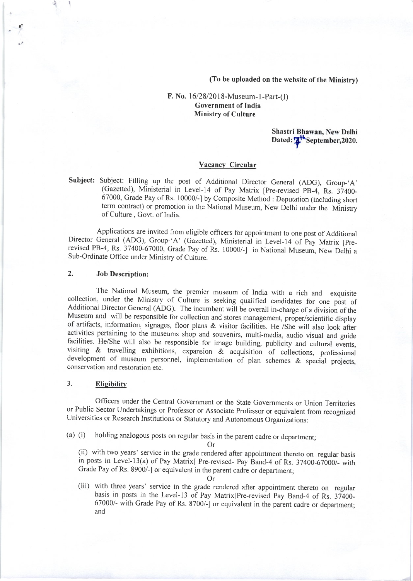(To be uploaded on the website of the Ministry)

### F. No. 16/28/2018-Museum-1-Part-(I) Government of India Ministry of Culture

Shastri Bhawan, New Delhi Dated: Weptember, 2020.

#### Vacancy Circular

Subject: Subject: Filling up the post of Additional Director General (ADG), Group-'A' (Gazetted), Ministerial in Level-14 of Pay Matrix [Pre-revised PB-4, Rs. 37400-67000, Grade Pay of Rs. 10000/-] by Composite Method : Deputation (including short term contract) or promotion in the National Museum, New Delhi under the Ministry of Culture, Govt. of India.

Applications are invited from eligible officers for appointment to one post of Additional Director General (ADG), Group-'A' (Gazetted), Ministerial in Level-14 of Pay Matrix [Prerevised PB-4, Rs. 37400-67000, Grade Pay of Rs. 10000/-] in National Museum, New Delhi a Sub-Ordinate Office under Ministry of Culture.

#### 2. Job Description:

1r

The National Museum, the premier museum of India with a rich and exquisite collection, under the Ministry of Culture is seeking qualified candidates for one post of Additional Director General (ADG). The incumbent will be overall in-charge of a division of the Museum and will be responsible for collection and stores management, proper/scientific display of artifacts, information, signages, floor plans & visitor facilities. He /She will also look after activities pertaining to the museums shop and souvenirs, multi-media, audio visual and guide facilities. He/She will also be responsible for image building, publicity and cultural events, visiting & travelling exhibitions, expansion  $\&$  acquisition of collections, professional development of museum personnel, implementation of plan schemes & special projects, conservation and restoration etc.

#### 3. Eligibility

Officers under the Central Government or the State Governments or Union Territories or Public Sector Undertakings or Professor or Associate Professor or equivalent from recognized Universities or Research Institutions or Statutory and Autonomous Organizations:

(a) (i) holding analogous posts on regular basis in the parent cadre or department;

Or (ii) with two years' service in the grade rendered after appointment thereto on regular basis in posts in Level-l3(a) of Pay Matrix[ Pre-revised- Pay Band-4 of Rs. 37400-67000/- with Grade Pay of Rs. 8900/-] or equivalent in the parent cadre or department;

Or (iii) with three years' service in the grade rendered after appointment thereto on regular basis in posts in the Level-13 of Pay Matrix[Pre-revised Pay Band-4 of Rs. 37400-67000/- with Grade Pay of Rs. 8700/-] or equivalent in the parent cadre or department; and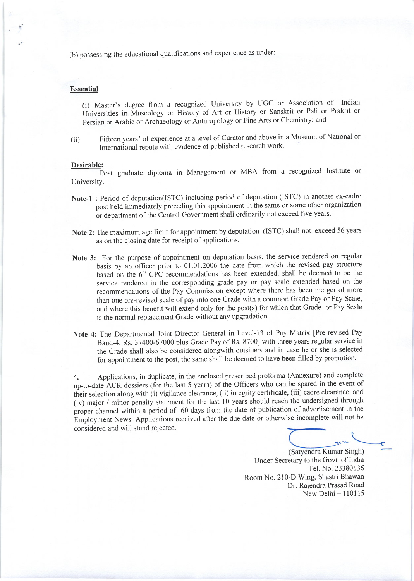(b) possessing the educational qualifications and experience as under:

#### **Essential**

(i) Master's degree from a recognized University by UGC or Association of Indian Universities in Museology or History of Art or History or Sanskrit or Pali or Prakrit or Persian or Arabic or Archaeology or Anthropology or Fine Arts or Chemistry; and

(ii) Fifteen years' of experience at a level of Curator and above in a Museum of National or International repute with evidence of published research work.

#### Desirable:

Post graduate diploma in Management or MBA from a recognized Institute or University.

- Note-1 : Period of deputation(ISTC) including period of deputation (ISTC) in another ex-cadre post held immediately preceding this appointment in the same or some other organization or department of the Central Government shall ordinarily not exceed five years.
- Note 2: The maximum age limit for appointment by deputation (ISTC) shall not exceed 56 years as on the closing date for receipt of applications.
- Note 3: For the purpose of appointment on deputation basis, the service rendered on regular basis by an officer prior to 01.01.2006 the date from which the revised pay structure based on the 6'h CPC recommendations has been extended, shall be deemed to be the service rendered in the corresponding grade pay or pay scale extended based on the recommendations of the Pay Commission except where there has been merger of more than one pre-revised scale of pay into one Grade with a common Grade Pay or Pay Scale, and where this benefit will extend only for the post(s) for which that Grade or Pay Scale is the normal replacement Grade without any upgradation.
- Note 4: The Departmental Joint Director General in Level-l3 of Pay Matrix [Pre-revised Pay Band-4, Rs. 37400-67000 plus Grade Pay of Rs. 8700] with three years regular service in the Grade shall also be considered alongwith outsiders and in case he or she is selected for appointment to the post, the same shall be deemed to have been filled by promotion.

4. Applications, in duplicate, in the enclosed prescribed proforma (Annexure) and complete up-to-date ACR dossiers (for the last 5 years) of the Officers who can be spared in the event of their selection along with (i) vigilance clearance, (ii) integrity certificate, (iii) cadre clearance, and (iv) major / minor penalty statement for the last l0 years should reach the undersigned through proper channel within a period of 60 days from the date of publication of advertisement in the proper channel within a period of the days from the date or presentative incomplete will not be<br>Employment News. Applications received after the due date or otherwise incomplete will not be considered and will stand rejected.

(Satyendra Kumar Singh) Under Secretary to the Govt. of India Tel. No. 23380136 Room No. 210-D Wing, Shastri Bhawan Dr. Rajendra Prasad Road  $New Delhi - 110115$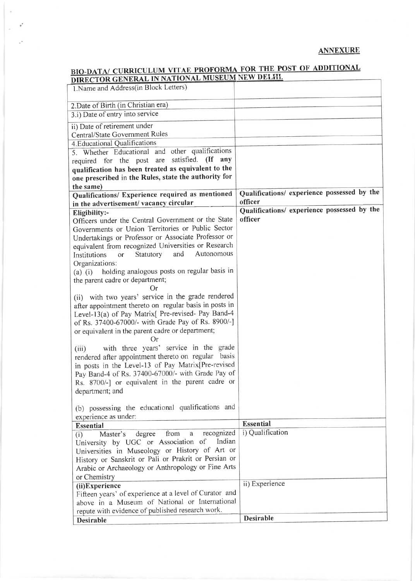## ANNEXURE

# BIO-DATA/ CURRICULUM VITAE PROFORMA FOR THE POST OF ADDITIONAL<br>DIRECTOR GENERAL IN NATIONAL MUSEUM NEW DELHI.

 $-\mathrm{e}^*$  $\geq$ 

 $\mathcal{L}^{(k)}$ 

| DIRECTOR GENERAL IN NATIONAL MOST                                          |                                             |
|----------------------------------------------------------------------------|---------------------------------------------|
| 1. Name and Address(in Block Letters)                                      |                                             |
| 2. Date of Birth (in Christian era)                                        |                                             |
| 3.i) Date of entry into service                                            |                                             |
| ii) Date of retirement under                                               |                                             |
| Central/State Government Rules                                             |                                             |
| 4. Educational Qualifications                                              |                                             |
| 5. Whether Educational and other qualifications                            |                                             |
| satisfied. (If any<br>required for the post are                            |                                             |
| qualification has been treated as equivalent to the                        |                                             |
| one prescribed in the Rules, state the authority for                       |                                             |
| the same)                                                                  |                                             |
| Qualifications/ Experience required as mentioned                           | Qualifications/ experience possessed by the |
| in the advertisement/ vacancy circular                                     | officer                                     |
| Eligibility:-                                                              | Qualifications/ experience possessed by the |
| Officers under the Central Government or the State                         | officer                                     |
| Governments or Union Territories or Public Sector                          |                                             |
| Undertakings or Professor or Associate Professor or                        |                                             |
| equivalent from recognized Universities or Research                        |                                             |
| and<br>Autonomous<br>Statutory<br>Institutions<br>$\alpha$                 |                                             |
| Organizations:                                                             |                                             |
| holding analogous posts on regular basis in<br>$(a)$ $(i)$                 |                                             |
| the parent cadre or department;                                            |                                             |
| Or                                                                         |                                             |
| (ii) with two years' service in the grade rendered                         |                                             |
| after appointment thereto on regular basis in posts in                     |                                             |
| Level-13(a) of Pay Matrix[ Pre-revised- Pay Band-4                         |                                             |
| of Rs. 37400-67000/- with Grade Pay of Rs. 8900/-]                         |                                             |
| or equivalent in the parent cadre or department;                           |                                             |
| Оr                                                                         |                                             |
| with three years' service in the grade<br>(iii)                            |                                             |
| rendered after appointment thereto on regular basis                        |                                             |
| in posts in the Level-13 of Pay Matrix[Pre-revised                         |                                             |
| Pay Band-4 of Rs. 37400-67000/- with Grade Pay of                          |                                             |
| Rs. 8700/-] or equivalent in the parent cadre or                           |                                             |
| department; and                                                            |                                             |
| (b) possessing the educational qualifications and                          |                                             |
|                                                                            |                                             |
| experience as under:                                                       | <b>Essential</b>                            |
| <b>Essential</b><br>recognized<br>from<br>$\mathbf{a}$                     | i) Qualification                            |
| Master's<br>degree<br>(i)<br>Indian<br>University by UGC or Association of |                                             |
| Universities in Museology or History of Art or                             |                                             |
| History or Sanskrit or Pali or Prakrit or Persian or                       |                                             |
| Arabic or Archaeology or Anthropology or Fine Arts                         |                                             |
|                                                                            |                                             |
| or Chemistry                                                               | ii) Experience                              |
| (ii)Experience<br>Fifteen years' of experience at a level of Curator and   |                                             |
| above in a Museum of National or International                             |                                             |
| repute with evidence of published research work.                           |                                             |
|                                                                            | <b>Desirable</b>                            |
| Desirable                                                                  |                                             |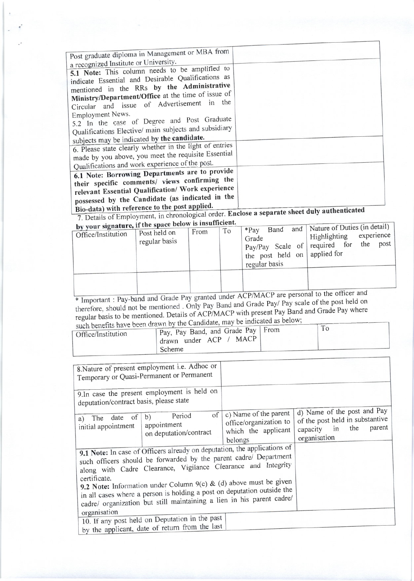| Post graduate diploma in Management or MBA from<br>a recognized Institute or University.                                                                                                                                                                                                                                                     |  |
|----------------------------------------------------------------------------------------------------------------------------------------------------------------------------------------------------------------------------------------------------------------------------------------------------------------------------------------------|--|
| 5.1 Note: This column needs to be amplified to<br>indicate Essential and Desirable Qualifications as                                                                                                                                                                                                                                         |  |
| mentioned in the RRs by the Administrative<br>Ministry/Department/Office at the time of issue of                                                                                                                                                                                                                                             |  |
| Circular and issue of Advertisement in the<br>Employment News.                                                                                                                                                                                                                                                                               |  |
| 5.2 In the case of Degree and Post Graduate<br>Qualifications Elective/ main subjects and subsidiary                                                                                                                                                                                                                                         |  |
| subjects may be indicated by the candidate.<br>6. Please state clearly whether in the light of entries<br>made by you above, you meet the requisite Essential<br>Qualifications and work experience of the post.                                                                                                                             |  |
| 6.1 Note: Borrowing Departments are to provide<br>their specific comments/ views confirming the<br>relevant Essential Qualification/ Work experience<br>possessed by the Candidate (as indicated in the                                                                                                                                      |  |
| $\cdots$ $\cdots$ $\cdots$ $\cdots$ $\cdots$ $\cdots$ $\cdots$ $\cdots$ $\cdots$ $\cdots$ $\cdots$ $\cdots$ $\cdots$ $\cdots$ $\cdots$ $\cdots$ $\cdots$ $\cdots$ $\cdots$ $\cdots$ $\cdots$ $\cdots$ $\cdots$ $\cdots$ $\cdots$ $\cdots$ $\cdots$ $\cdots$ $\cdots$ $\cdots$ $\cdots$ $\cdots$ $\cdots$ $\cdots$ $\cdots$ $\cdots$ $\cdots$ |  |

Bio-data) with reference to the post applied.<br>7. Details of Employment, in chronological order. Enclose a separate sheet duly authenticated<br>by your signature, if the space below is insufficient.

| by your signature, if the space below is modified.<br>Office/Institution | Post held on<br>regular basis | From | To | Band<br>$*$ Pay<br>Grade<br>pay/Pay Scale of required for<br>the post held on,<br>regular basis | and   Nature of Duties (in detail)<br>experience.<br>Highlighting<br>post<br>the<br>applied for |  |
|--------------------------------------------------------------------------|-------------------------------|------|----|-------------------------------------------------------------------------------------------------|-------------------------------------------------------------------------------------------------|--|
|                                                                          |                               |      |    |                                                                                                 |                                                                                                 |  |

Fundant : Pay-band and Grade Pay granted under ACP/MACP are personal to the officer and<br>therefore, should not be mentioned . Only Pay Band and Grade Pay/ Pay scale of the post held on regular basis to be mentioned. Details of ACP/MACP with present Pay Band and Grade Pay where<br>such benefits have been drawn by the Candidate, may be indicated as below;

|                    | such benefits have been drawn by the Candidate, thay be measured |    |
|--------------------|------------------------------------------------------------------|----|
| Office/Institution | Pay, Pay Band, and Grade Pay   From                              | 10 |
|                    | <b>MACP</b><br>$\Box$ drawn under ACP $\angle$                   |    |
|                    | Scheme                                                           |    |

| 8. Nature of present employment i.e. Adhoc or<br>Temporary or Quasi-Permanent or Permanent               |                                                                                                                                                                                                                                                                                                                                                             |                                                                                   |                                                                                                   |        |
|----------------------------------------------------------------------------------------------------------|-------------------------------------------------------------------------------------------------------------------------------------------------------------------------------------------------------------------------------------------------------------------------------------------------------------------------------------------------------------|-----------------------------------------------------------------------------------|---------------------------------------------------------------------------------------------------|--------|
| 9.In case the present employment is held on<br>deputation/contract basis, please state                   |                                                                                                                                                                                                                                                                                                                                                             |                                                                                   |                                                                                                   |        |
| a) The date of $\vert$<br>initial appointment                                                            | of  <br>Period<br>b)<br>appointment<br>on deputation/contract                                                                                                                                                                                                                                                                                               | c) Name of the parent<br>office/organization to<br>which the applicant<br>belongs | d) Name of the post and Pay<br>of the post held in substantive<br>capacity in the<br>organisation | parent |
| 9.1 Note: In case of Officers already on deputation, the applications of<br>certificate.<br>organisation | such officers should be forwarded by the parent cadre/ Department<br>along with Cadre Clearance, Vigilance Clearance and Integrity<br>9.2 Note: Information under Column 9(c) & (d) above must be given<br>in all cases where a person is holding a post on deputation outside the<br>cadre/ organization but still maintaining a lien in his parent cadre/ |                                                                                   |                                                                                                   |        |
|                                                                                                          | 10. If any post held on Deputation in the past<br>by the applicant, date of return from the last                                                                                                                                                                                                                                                            |                                                                                   |                                                                                                   |        |